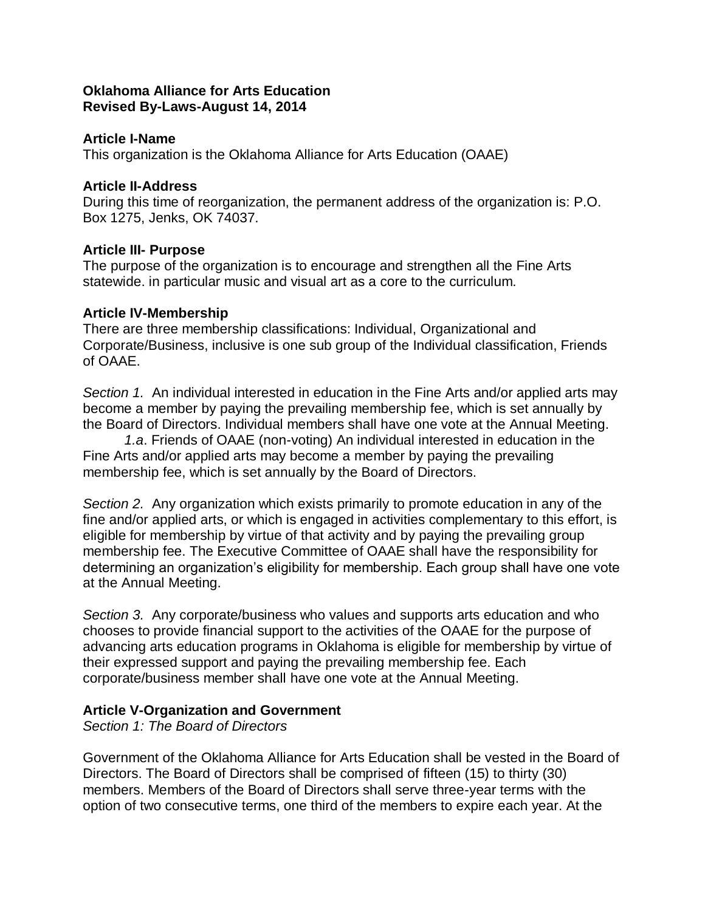### **Oklahoma Alliance for Arts Education Revised By-Laws-August 14, 2014**

### **Article I-Name**

This organization is the Oklahoma Alliance for Arts Education (OAAE)

### **Article II-Address**

During this time of reorganization, the permanent address of the organization is: P.O. Box 1275, Jenks, OK 74037.

### **Article III- Purpose**

The purpose of the organization is to encourage and strengthen all the Fine Arts statewide. in particular music and visual art as a core to the curriculum.

### **Article IV-Membership**

There are three membership classifications: Individual, Organizational and Corporate/Business, inclusive is one sub group of the Individual classification, Friends of OAAE.

*Section 1.* An individual interested in education in the Fine Arts and/or applied arts may become a member by paying the prevailing membership fee, which is set annually by the Board of Directors. Individual members shall have one vote at the Annual Meeting.

*1.a*. Friends of OAAE (non-voting) An individual interested in education in the Fine Arts and/or applied arts may become a member by paying the prevailing membership fee, which is set annually by the Board of Directors.

*Section 2.* Any organization which exists primarily to promote education in any of the fine and/or applied arts, or which is engaged in activities complementary to this effort, is eligible for membership by virtue of that activity and by paying the prevailing group membership fee. The Executive Committee of OAAE shall have the responsibility for determining an organization's eligibility for membership. Each group shall have one vote at the Annual Meeting.

*Section 3.* Any corporate/business who values and supports arts education and who chooses to provide financial support to the activities of the OAAE for the purpose of advancing arts education programs in Oklahoma is eligible for membership by virtue of their expressed support and paying the prevailing membership fee. Each corporate/business member shall have one vote at the Annual Meeting.

### **Article V-Organization and Government**

*Section 1: The Board of Directors*

Government of the Oklahoma Alliance for Arts Education shall be vested in the Board of Directors. The Board of Directors shall be comprised of fifteen (15) to thirty (30) members. Members of the Board of Directors shall serve three-year terms with the option of two consecutive terms, one third of the members to expire each year. At the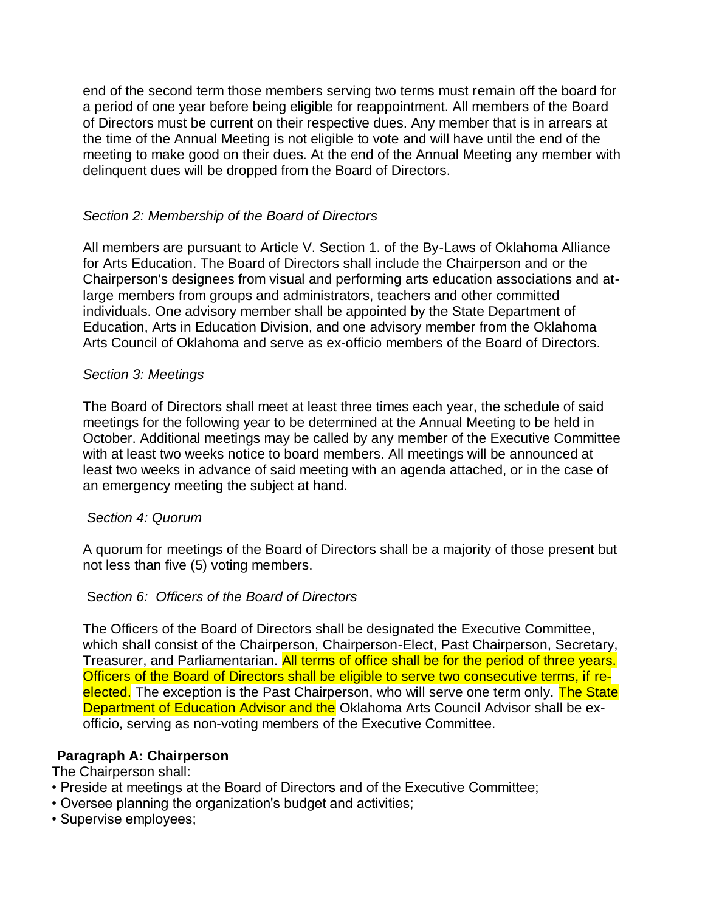end of the second term those members serving two terms must remain off the board for a period of one year before being eligible for reappointment. All members of the Board of Directors must be current on their respective dues. Any member that is in arrears at the time of the Annual Meeting is not eligible to vote and will have until the end of the meeting to make good on their dues. At the end of the Annual Meeting any member with delinquent dues will be dropped from the Board of Directors.

## *Section 2: Membership of the Board of Directors*

All members are pursuant to Article V. Section 1. of the By-Laws of Oklahoma Alliance for Arts Education. The Board of Directors shall include the Chairperson and  $e$  the Chairperson's designees from visual and performing arts education associations and atlarge members from groups and administrators, teachers and other committed individuals. One advisory member shall be appointed by the State Department of Education, Arts in Education Division, and one advisory member from the Oklahoma Arts Council of Oklahoma and serve as ex-officio members of the Board of Directors.

### *Section 3: Meetings*

The Board of Directors shall meet at least three times each year, the schedule of said meetings for the following year to be determined at the Annual Meeting to be held in October. Additional meetings may be called by any member of the Executive Committee with at least two weeks notice to board members. All meetings will be announced at least two weeks in advance of said meeting with an agenda attached, or in the case of an emergency meeting the subject at hand.

### *Section 4: Quorum*

A quorum for meetings of the Board of Directors shall be a majority of those present but not less than five (5) voting members.

### S*ection 6: Officers of the Board of Directors*

The Officers of the Board of Directors shall be designated the Executive Committee, which shall consist of the Chairperson, Chairperson-Elect, Past Chairperson, Secretary, Treasurer, and Parliamentarian. All terms of office shall be for the period of three years. Officers of the Board of Directors shall be eligible to serve two consecutive terms, if reelected. The exception is the Past Chairperson, who will serve one term only. The State Department of Education Advisor and the Oklahoma Arts Council Advisor shall be exofficio, serving as non-voting members of the Executive Committee.

### **Paragraph A: Chairperson**

The Chairperson shall:

- Preside at meetings at the Board of Directors and of the Executive Committee;
- Oversee planning the organization's budget and activities;
- Supervise employees;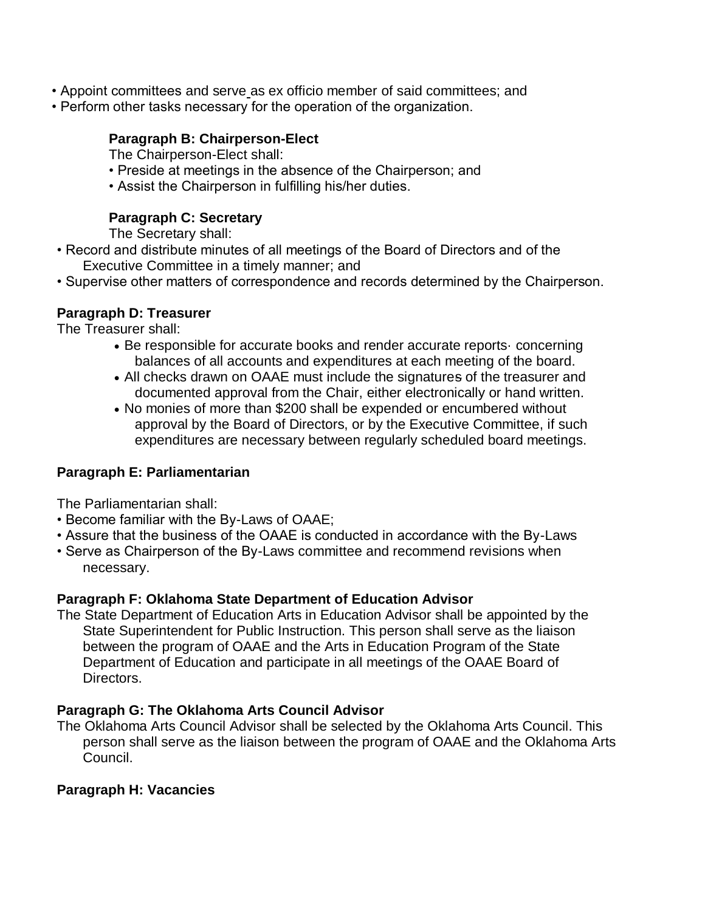- Appoint committees and serve as ex officio member of said committees; and
- Perform other tasks necessary for the operation of the organization.

## **Paragraph B: Chairperson-Elect**

The Chairperson-Elect shall:

- Preside at meetings in the absence of the Chairperson; and
- Assist the Chairperson in fulfilling his/her duties.

# **Paragraph C: Secretary**

The Secretary shall:

- Record and distribute minutes of all meetings of the Board of Directors and of the Executive Committee in a timely manner; and
- Supervise other matters of correspondence and records determined by the Chairperson.

## **Paragraph D: Treasurer**

The Treasurer shall:

- Be responsible for accurate books and render accurate reports· concerning balances of all accounts and expenditures at each meeting of the board.
- All checks drawn on OAAE must include the signatures of the treasurer and documented approval from the Chair, either electronically or hand written.
- No monies of more than \$200 shall be expended or encumbered without approval by the Board of Directors, or by the Executive Committee, if such expenditures are necessary between regularly scheduled board meetings.

## **Paragraph E: Parliamentarian**

The Parliamentarian shall:

- Become familiar with the By-Laws of OAAE;
- Assure that the business of the OAAE is conducted in accordance with the By-Laws
- Serve as Chairperson of the By-Laws committee and recommend revisions when necessary.

## **Paragraph F: Oklahoma State Department of Education Advisor**

The State Department of Education Arts in Education Advisor shall be appointed by the State Superintendent for Public Instruction. This person shall serve as the liaison between the program of OAAE and the Arts in Education Program of the State Department of Education and participate in all meetings of the OAAE Board of Directors.

## **Paragraph G: The Oklahoma Arts Council Advisor**

The Oklahoma Arts Council Advisor shall be selected by the Oklahoma Arts Council. This person shall serve as the liaison between the program of OAAE and the Oklahoma Arts Council.

## **Paragraph H: Vacancies**